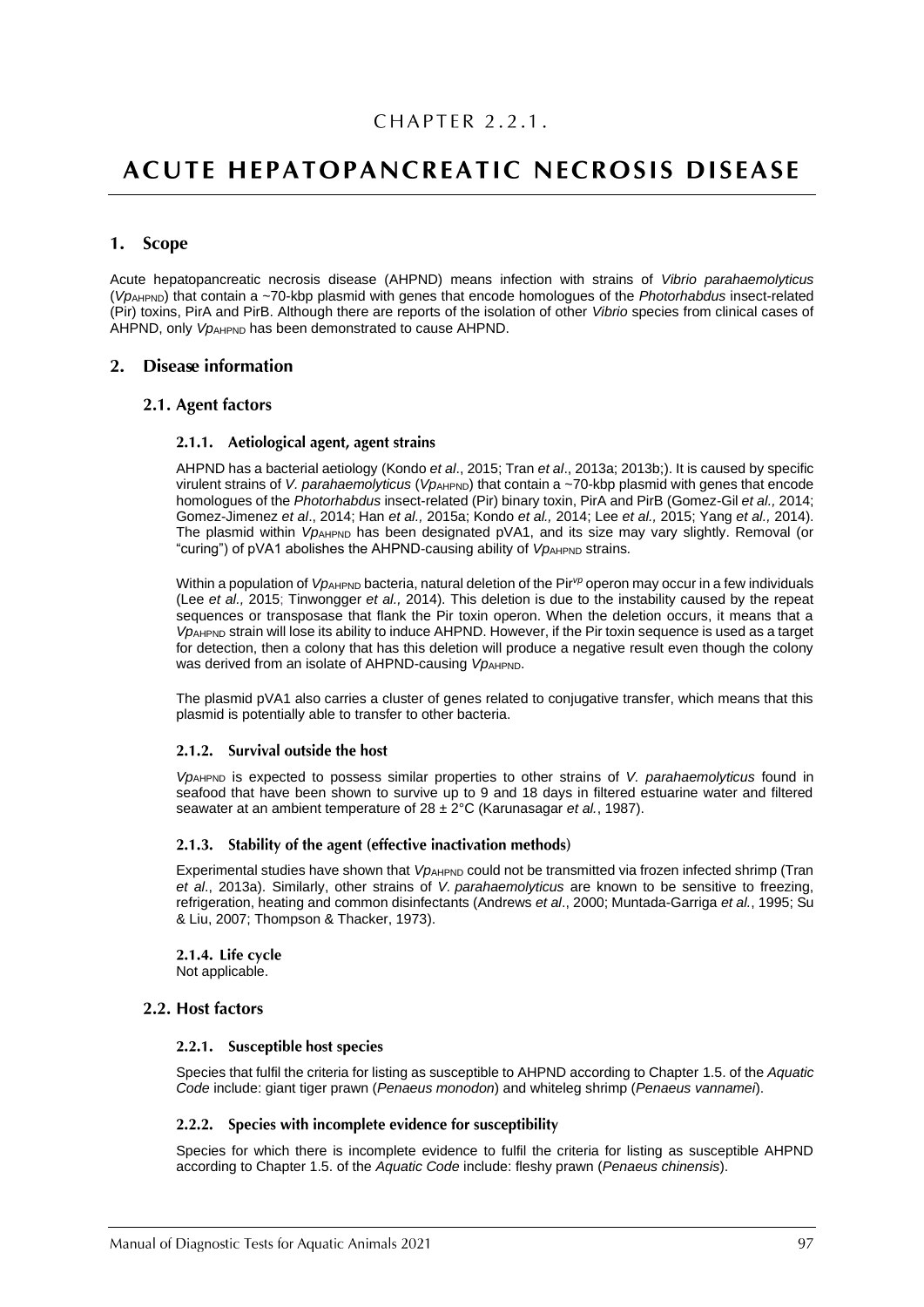# **ACUTE HEPATOPANCREATIC NECROSIS DISEASE**

# 1. Scope

Acute hepatopancreatic necrosis disease (AHPND) means infection with strains of *Vibrio parahaemolyticus* (*Vp*AHPND) that contain a ~70-kbp plasmid with genes that encode homologues of the *Photorhabdus* insect-related (Pir) toxins, PirA and PirB. Although there are reports of the isolation of other *Vibrio* species from clinical cases of AHPND, only *VpAHPND* has been demonstrated to cause AHPND.

# 2. Disease information

#### 2.1. Agent factors

#### 2.1.1. Aetiological agent, agent strains

AHPND has a bacterial aetiology (Kondo *et al*., 2015; Tran *et al*., 2013a; 2013b;). It is caused by specific virulent strains of *V. parahaemolyticus* (*Vp*<sub>AHPND</sub>) that contain a ~70-kbp plasmid with genes that encode homologues of the *Photorhabdus* insect-related (Pir) binary toxin, PirA and PirB (Gomez-Gil *et al.,* 2014; Gomez-Jimenez *et al*., 2014; Han *et al.,* 2015a; Kondo *et al.,* 2014; Lee *et al.,* 2015; Yang *et al.,* 2014). The plasmid within *VpAHPND* has been designated pVA1, and its size may vary slightly. Removal (or "curing") of pVA1 abolishes the AHPND-causing ability of *VpAHPND* strains.

Within a population of *Vp*AHPND bacteria, natural deletion of the Pir<sup>yp</sup> operon may occur in a few individuals (Lee *et al.,* 2015; Tinwongger *et al.,* 2014). This deletion is due to the instability caused by the repeat sequences or transposase that flank the Pir toxin operon. When the deletion occurs, it means that a *Vp*AHPND strain will lose its ability to induce AHPND. However, if the Pir toxin sequence is used as a target for detection, then a colony that has this deletion will produce a negative result even though the colony was derived from an isolate of AHPND-causing *VpAHPND*.

The plasmid pVA1 also carries a cluster of genes related to conjugative transfer, which means that this plasmid is potentially able to transfer to other bacteria.

#### 2.1.2. Survival outside the host

*Vp*AHPND is expected to possess similar properties to other strains of *V. parahaemolyticus* found in seafood that have been shown to survive up to 9 and 18 days in filtered estuarine water and filtered seawater at an ambient temperature of 28 ± 2°C (Karunasagar *et al.*, 1987).

#### 2.1.3. Stability of the agent (effective inactivation methods)

Experimental studies have shown that *VpAHPND* could not be transmitted via frozen infected shrimp (Tran *et al*., 2013a). Similarly, other strains of *V. parahaemolyticus* are known to be sensitive to freezing, refrigeration, heating and common disinfectants (Andrews *et al*., 2000; Muntada-Garriga *et al.*, 1995; Su & Liu, 2007; Thompson & Thacker, 1973).

2.1.4. Life cycle Not applicable.

#### 2.2. Host factors

#### 2.2.1. Susceptible host species

Species that fulfil the criteria for listing as susceptible to AHPND according to Chapter 1.5. of the *Aquatic Code* include: giant tiger prawn (*Penaeus monodon*) and whiteleg shrimp (*Penaeus vannamei*).

#### 2.2.2. Species with incomplete evidence for susceptibility

Species for which there is incomplete evidence to fulfil the criteria for listing as susceptible AHPND according to Chapter 1.5. of the *Aquatic Code* include: fleshy prawn (*Penaeus chinensis*).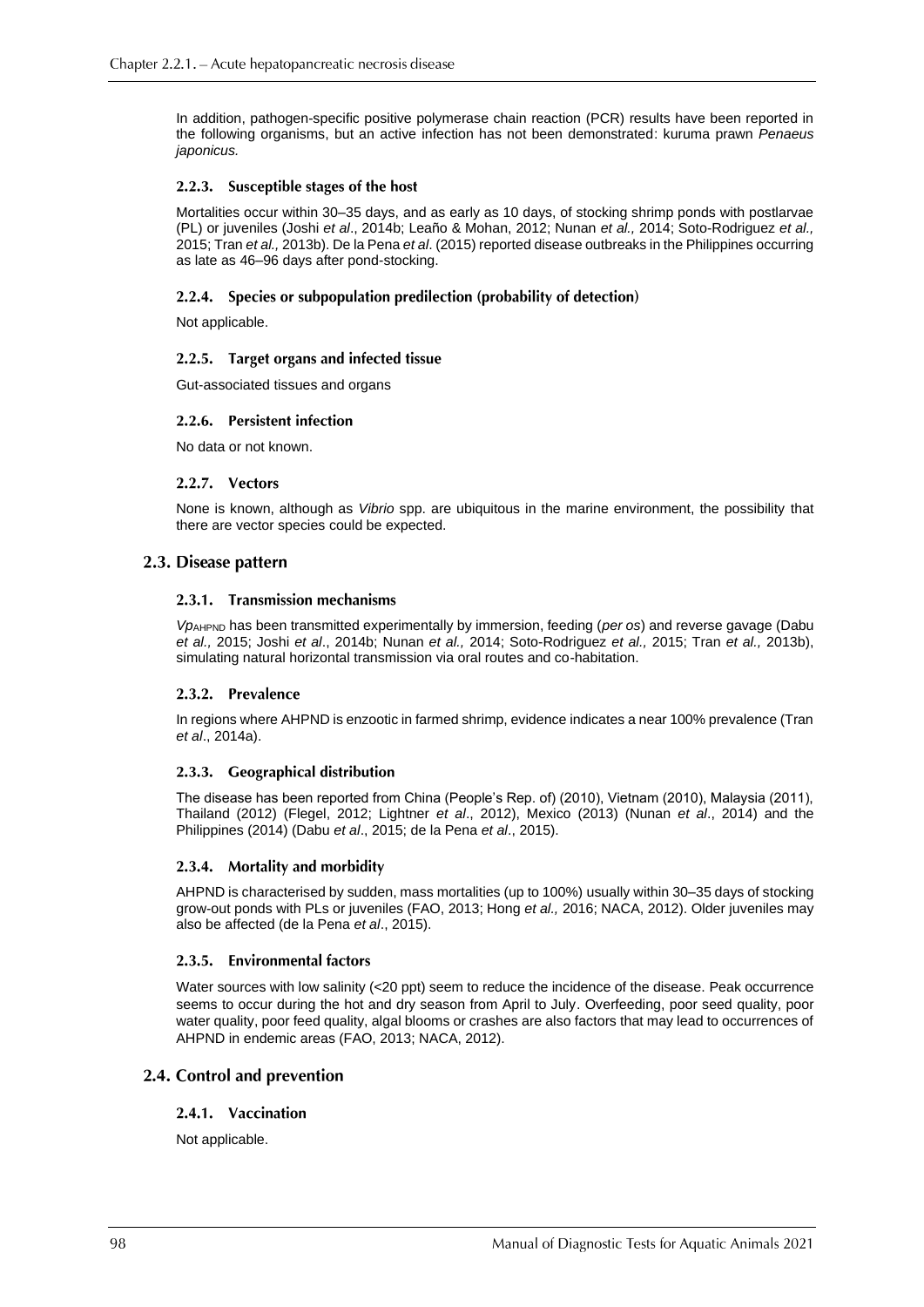In addition, pathogen-specific positive polymerase chain reaction (PCR) results have been reported in the following organisms, but an active infection has not been demonstrated: kuruma prawn *Penaeus japonicus.*

#### 2.2.3. Susceptible stages of the host

Mortalities occur within 30–35 days, and as early as 10 days, of stocking shrimp ponds with postlarvae (PL) or juveniles (Joshi *et al*., 2014b; Leaño & Mohan, 2012; Nunan *et al.,* 2014; Soto-Rodriguez *et al.,* 2015; Tran *et al.,* 2013b). De la Pena *et al*. (2015) reported disease outbreaks in the Philippines occurring as late as 46–96 days after pond-stocking.

#### 2.2.4. Species or subpopulation predilection (probability of detection)

Not applicable.

#### 2.2.5. Target organs and infected tissue

Gut-associated tissues and organs

#### 2.2.6. Persistent infection

No data or not known.

#### 2.2.7. Vectors

None is known, although as *Vibrio* spp. are ubiquitous in the marine environment, the possibility that there are vector species could be expected.

#### 2.3. Disease pattern

#### 2.3.1. Transmission mechanisms

*Vp*AHPND has been transmitted experimentally by immersion, feeding (*per os*) and reverse gavage (Dabu *et al.,* 2015; Joshi *et al*., 2014b; Nunan *et al.,* 2014; Soto-Rodriguez *et al.,* 2015; Tran *et al.,* 2013b), simulating natural horizontal transmission via oral routes and co-habitation.

#### 2.3.2. Prevalence

In regions where AHPND is enzootic in farmed shrimp, evidence indicates a near 100% prevalence (Tran *et al*., 2014a).

#### 2.3.3. Geographical distribution

The disease has been reported from China (People's Rep. of) (2010), Vietnam (2010), Malaysia (2011), Thailand (2012) (Flegel, 2012; Lightner *et al*., 2012), Mexico (2013) (Nunan *et al*., 2014) and the Philippines (2014) (Dabu *et al*., 2015; de la Pena *et al*., 2015).

#### 2.3.4. Mortality and morbidity

AHPND is characterised by sudden, mass mortalities (up to 100%) usually within 30–35 days of stocking grow-out ponds with PLs or juveniles (FAO, 2013; Hong *et al.,* 2016; NACA, 2012). Older juveniles may also be affected (de la Pena *et al*., 2015).

#### 2.3.5. Environmental factors

Water sources with low salinity (<20 ppt) seem to reduce the incidence of the disease. Peak occurrence seems to occur during the hot and dry season from April to July. Overfeeding, poor seed quality, poor water quality, poor feed quality, algal blooms or crashes are also factors that may lead to occurrences of AHPND in endemic areas (FAO, 2013; NACA, 2012).

# 2.4. Control and prevention

#### 2.4.1. Vaccination

Not applicable.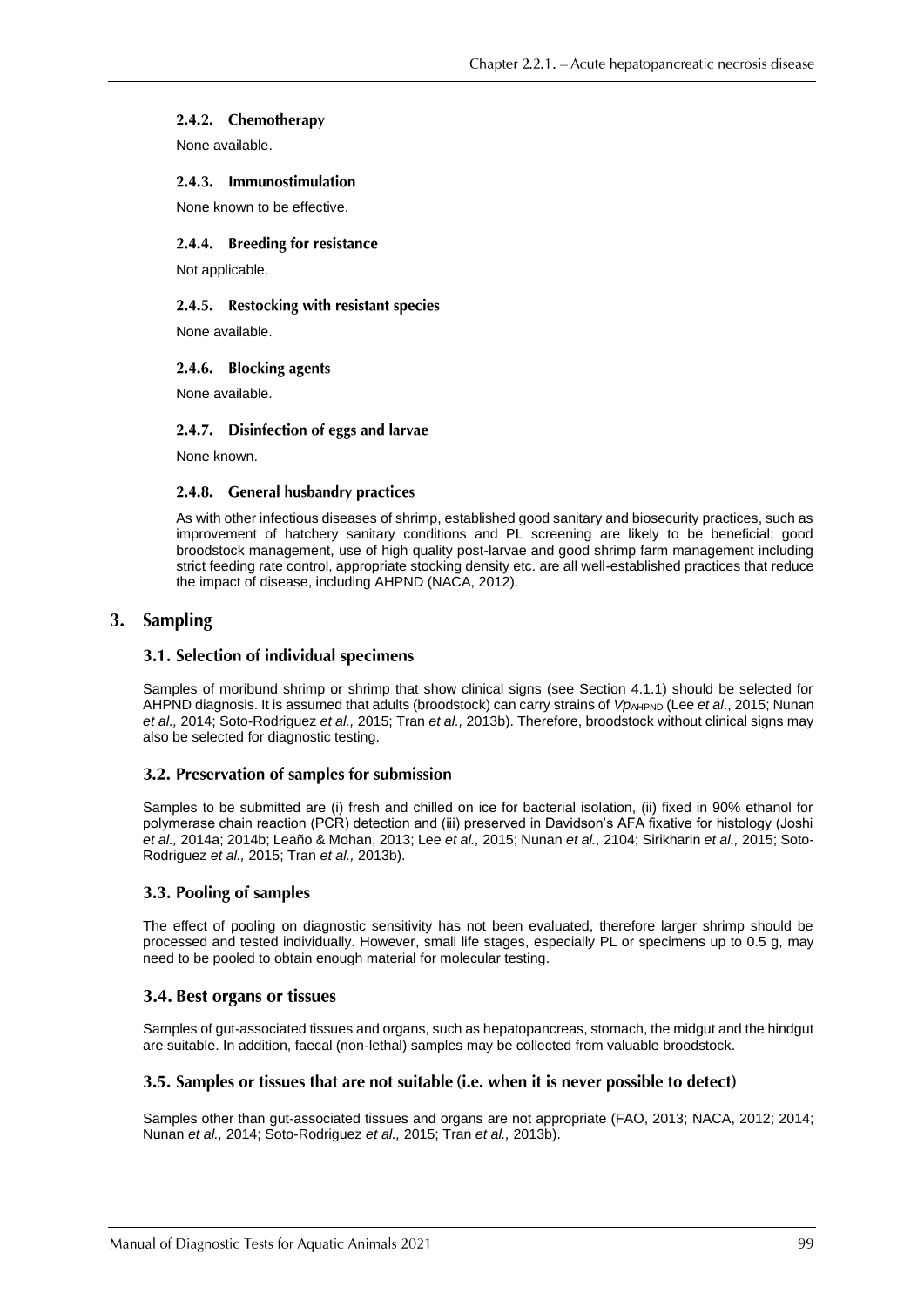#### 2.4.2. Chemotherapy

None available.

#### 2.4.3. Immunostimulation

None known to be effective.

#### 2.4.4. Breeding for resistance

Not applicable.

#### 2.4.5. Restocking with resistant species

None available.

#### 2.4.6. Blocking agents

None available.

#### 2.4.7. Disinfection of eggs and larvae

None known.

#### 2.4.8. General husbandry practices

As with other infectious diseases of shrimp, established good sanitary and biosecurity practices, such as improvement of hatchery sanitary conditions and PL screening are likely to be beneficial; good broodstock management, use of high quality post-larvae and good shrimp farm management including strict feeding rate control, appropriate stocking density etc. are all well-established practices that reduce the impact of disease, including AHPND (NACA, 2012).

# 3. Sampling

#### 3.1. Selection of individual specimens

Samples of moribund shrimp or shrimp that show clinical signs (see Section 4.1.1) should be selected for AHPND diagnosis. It is assumed that adults (broodstock) can carry strains of *VpAHPND* (Lee *et al.*, 2015; Nunan *et al.,* 2014; Soto-Rodriguez *et al.,* 2015; Tran *et al.,* 2013b). Therefore, broodstock without clinical signs may also be selected for diagnostic testing.

# 3.2. Preservation of samples for submission

Samples to be submitted are (i) fresh and chilled on ice for bacterial isolation, (ii) fixed in 90% ethanol for polymerase chain reaction (PCR) detection and (iii) preserved in Davidson's AFA fixative for histology (Joshi *et al.,* 2014a; 2014b; Leaño & Mohan, 2013; Lee *et al.,* 2015; Nunan *et al.,* 2104; Sirikharin *et al.,* 2015; Soto-Rodriguez *et al.,* 2015; Tran *et al.,* 2013b).

# 3.3. Pooling of samples

The effect of pooling on diagnostic sensitivity has not been evaluated, therefore larger shrimp should be processed and tested individually. However, small life stages, especially PL or specimens up to 0.5 g, may need to be pooled to obtain enough material for molecular testing.

# 3.4. Best organs or tissues

Samples of gut-associated tissues and organs, such as hepatopancreas, stomach, the midgut and the hindgut are suitable. In addition, faecal (non-lethal) samples may be collected from valuable broodstock.

#### 3.5. Samples or tissues that are not suitable (i.e. when it is never possible to detect)

Samples other than gut-associated tissues and organs are not appropriate (FAO, 2013; NACA, 2012; 2014; Nunan *et al.,* 2014; Soto-Rodriguez *et al.,* 2015; Tran *et al.,* 2013b).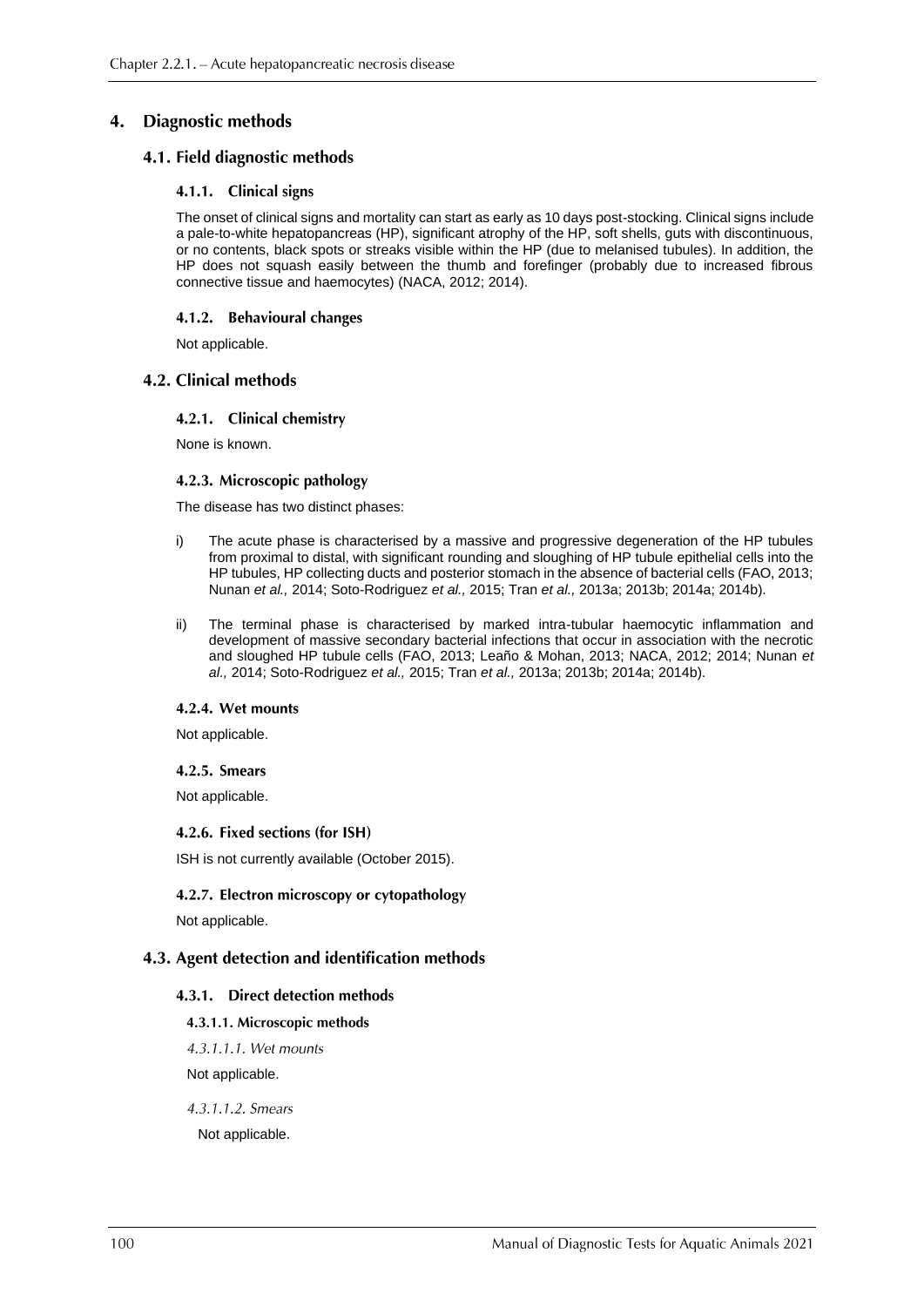#### **Diagnostic methods** 4.

# 4.1. Field diagnostic methods

#### 4.1.1. Clinical signs

The onset of clinical signs and mortality can start as early as 10 days post-stocking. Clinical signs include a pale-to-white hepatopancreas (HP), significant atrophy of the HP, soft shells, guts with discontinuous, or no contents, black spots or streaks visible within the HP (due to melanised tubules). In addition, the HP does not squash easily between the thumb and forefinger (probably due to increased fibrous connective tissue and haemocytes) (NACA, 2012; 2014).

#### 4.1.2. Behavioural changes

Not applicable.

#### 4.2. Clinical methods

#### 4.2.1. Clinical chemistry

None is known.

#### 4.2.3. Microscopic pathology

The disease has two distinct phases:

- i) The acute phase is characterised by a massive and progressive degeneration of the HP tubules from proximal to distal, with significant rounding and sloughing of HP tubule epithelial cells into the HP tubules, HP collecting ducts and posterior stomach in the absence of bacterial cells (FAO, 2013; Nunan *et al.,* 2014; Soto-Rodriguez *et al.,* 2015; Tran *et al.,* 2013a; 2013b; 2014a; 2014b).
- ii) The terminal phase is characterised by marked intra-tubular haemocytic inflammation and development of massive secondary bacterial infections that occur in association with the necrotic and sloughed HP tubule cells (FAO, 2013; Leaño & Mohan, 2013; NACA, 2012; 2014; Nunan *et al.,* 2014; Soto-Rodriguez *et al.,* 2015; Tran *et al.,* 2013a; 2013b; 2014a; 2014b).

#### 4.2.4. Wet mounts

Not applicable.

#### 4.2.5. Smears

Not applicable.

#### 4.2.6. Fixed sections (for ISH)

ISH is not currently available (October 2015).

# 4.2.7. Electron microscopy or cytopathology

Not applicable.

# 4.3. Agent detection and identification methods

#### 4.3.1. Direct detection methods

- 4.3.1.1. Microscopic methods
- 4.3.1.1.1. Wet mounts

Not applicable.

4.3.1.1.2. Smears

Not applicable.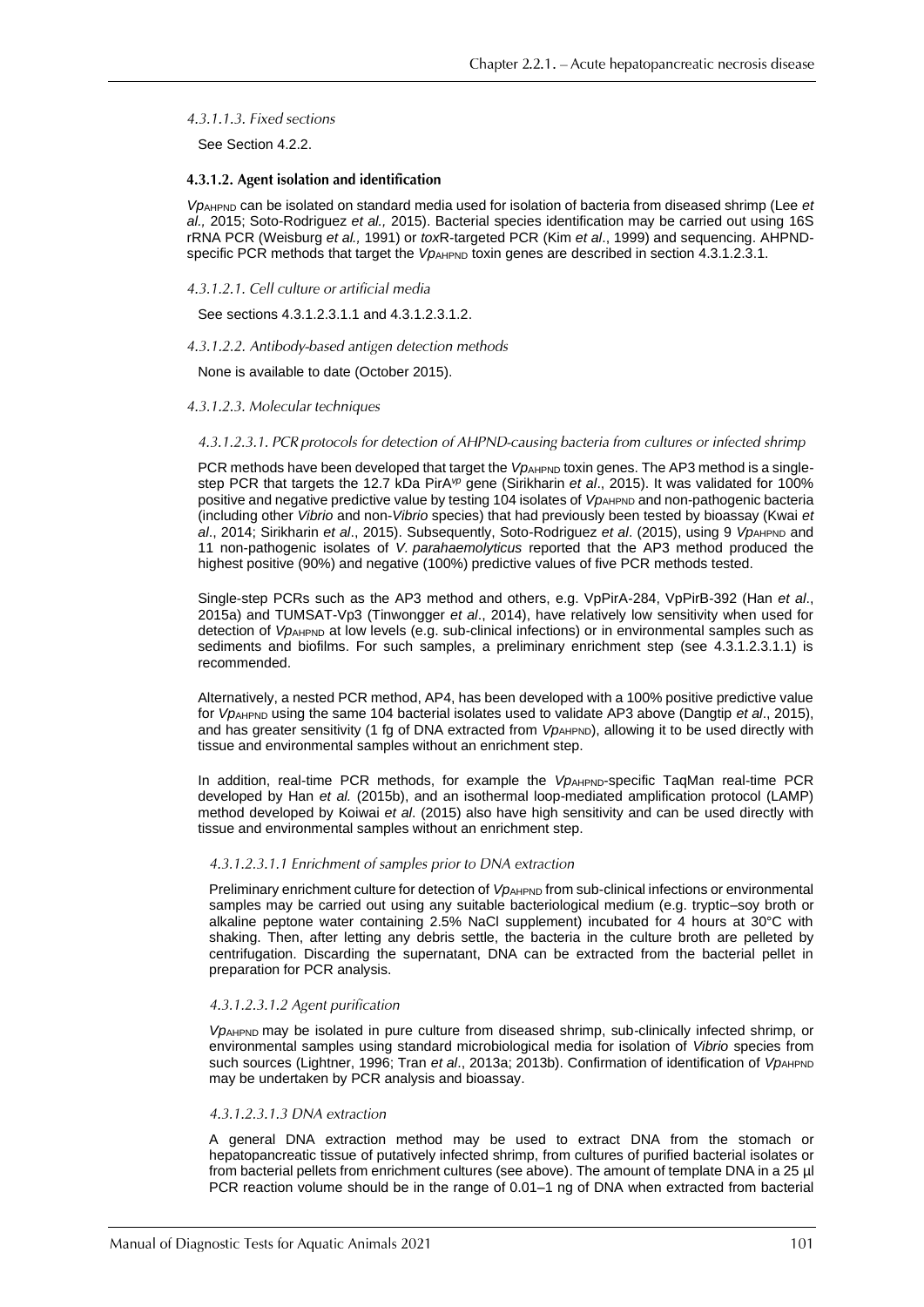4.3.1.1.3. Fixed sections

See Section 4.2.2.

#### 4.3.1.2. Agent isolation and identification

*Vp*AHPND can be isolated on standard media used for isolation of bacteria from diseased shrimp (Lee *et al.,* 2015; Soto-Rodriguez *et al.,* 2015). Bacterial species identification may be carried out using 16S rRNA PCR (Weisburg *et al.,* 1991) or *tox*R-targeted PCR (Kim *et al*., 1999) and sequencing. AHPNDspecific PCR methods that target the *Vp*<sub>AHPND</sub> toxin genes are described in section 4.3.1.2.3.1.

#### 4.3.1.2.1. Cell culture or artificial media

See sections 4.3.1.2.3.1.1 and 4.3.1.2.3.1.2.

#### 4.3.1.2.2. Antibody-based antigen detection methods

None is available to date (October 2015).

#### 4.3.1.2.3. Molecular techniques

#### 4.3.1.2.3.1. PCR protocols for detection of AHPND-causing bacteria from cultures or infected shrimp

PCR methods have been developed that target the *VpAHPND* toxin genes. The AP3 method is a singlestep PCR that targets the 12.7 kDa PirA*vp* gene (Sirikharin *et al*., 2015). It was validated for 100% positive and negative predictive value by testing 104 isolates of *VpAHPND* and non-pathogenic bacteria (including other *Vibrio* and non-*Vibrio* species) that had previously been tested by bioassay (Kwai *et al.*, 2014; Sirikharin *et al.*, 2015). Subsequently, Soto-Rodriguez *et al.* (2015), using 9 *VpAHPND* and 11 non-pathogenic isolates of *V. parahaemolyticus* reported that the AP3 method produced the highest positive (90%) and negative (100%) predictive values of five PCR methods tested.

Single-step PCRs such as the AP3 method and others, e.g. VpPirA-284, VpPirB-392 (Han *et al*., 2015a) and TUMSAT-Vp3 (Tinwongger *et al*., 2014), have relatively low sensitivity when used for detection of *Vp*<sub>AHPND</sub> at low levels (e.g. sub-clinical infections) or in environmental samples such as sediments and biofilms. For such samples, a preliminary enrichment step (see 4.3.1.2.3.1.1) is recommended.

Alternatively, a nested PCR method, AP4, has been developed with a 100% positive predictive value for *Vp*AHPND using the same 104 bacterial isolates used to validate AP3 above (Dangtip *et al*., 2015), and has greater sensitivity (1 fg of DNA extracted from *Vp<sub>AHPND</sub>*), allowing it to be used directly with tissue and environmental samples without an enrichment step.

In addition, real-time PCR methods, for example the *Vp*AHPND-specific TaqMan real-time PCR developed by Han *et al.* (2015b), and an isothermal loop-mediated amplification protocol (LAMP) method developed by Koiwai *et al*. (2015) also have high sensitivity and can be used directly with tissue and environmental samples without an enrichment step.

#### 4.3.1.2.3.1.1 Enrichment of samples prior to DNA extraction

Preliminary enrichment culture for detection of *VpAHPND* from sub-clinical infections or environmental samples may be carried out using any suitable bacteriological medium (e.g. tryptic–soy broth or alkaline peptone water containing 2.5% NaCl supplement) incubated for 4 hours at 30°C with shaking. Then, after letting any debris settle, the bacteria in the culture broth are pelleted by centrifugation. Discarding the supernatant, DNA can be extracted from the bacterial pellet in preparation for PCR analysis.

#### 4.3.1.2.3.1.2 Agent purification

*Vp*AHPND may be isolated in pure culture from diseased shrimp, sub-clinically infected shrimp, or environmental samples using standard microbiological media for isolation of *Vibrio* species from such sources (Lightner, 1996; Tran *et al.*, 2013a; 2013b). Confirmation of identification of *Vp*<sub>AHPND</sub> may be undertaken by PCR analysis and bioassay.

#### 4.3.1.2.3.1.3 DNA extraction

A general DNA extraction method may be used to extract DNA from the stomach or hepatopancreatic tissue of putatively infected shrimp, from cultures of purified bacterial isolates or from bacterial pellets from enrichment cultures (see above). The amount of template DNA in a 25 µl PCR reaction volume should be in the range of 0.01–1 ng of DNA when extracted from bacterial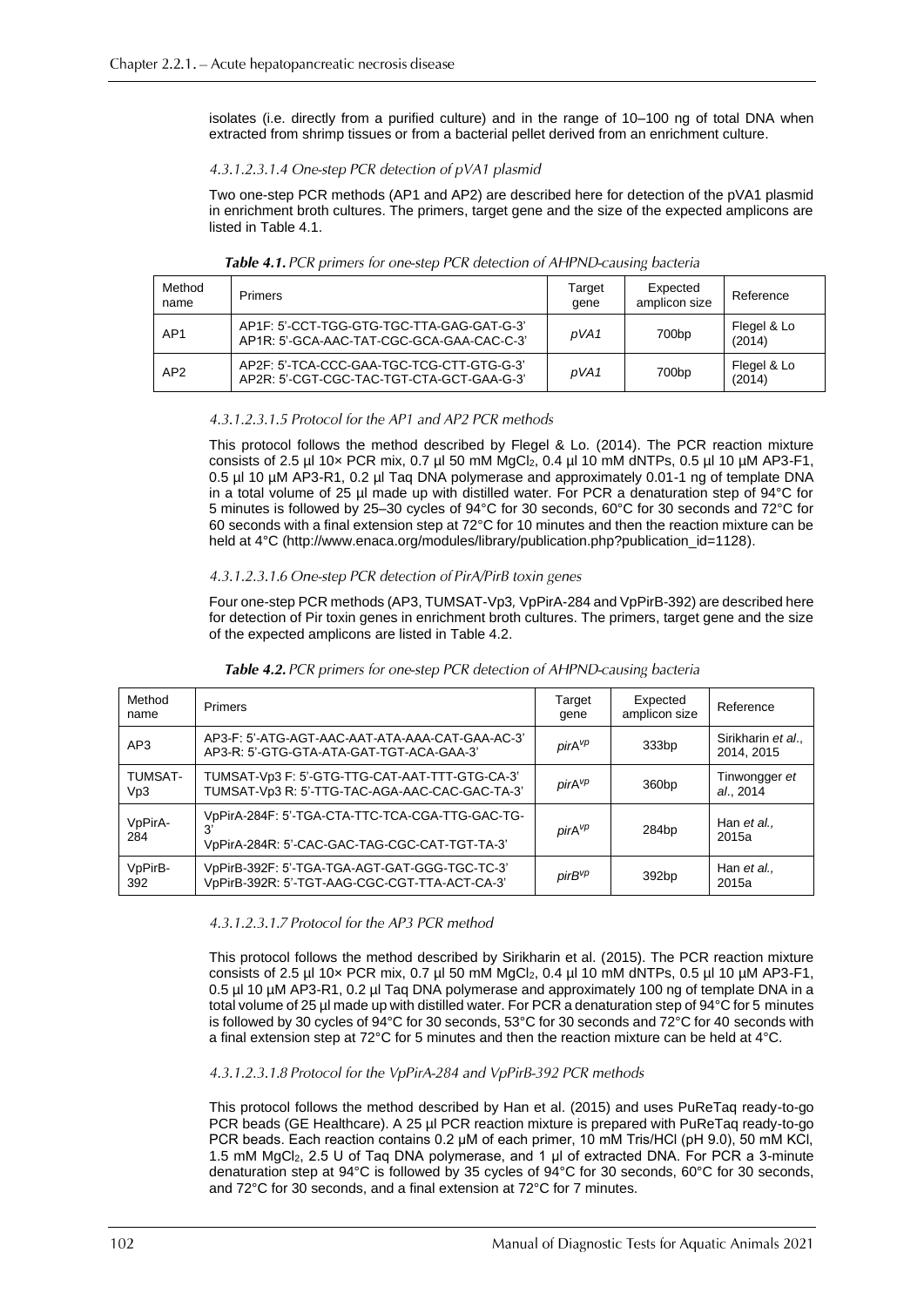isolates (i.e. directly from a purified culture) and in the range of 10–100 ng of total DNA when extracted from shrimp tissues or from a bacterial pellet derived from an enrichment culture.

#### 4.3.1.2.3.1.4 One-step PCR detection of pVA1 plasmid

Two one-step PCR methods (AP1 and AP2) are described here for detection of the pVA1 plasmid in enrichment broth cultures. The primers, target gene and the size of the expected amplicons are listed in Table 4.1.

| Method<br>name  | Primers                                                                                | Target<br>gene | Expected<br>amplicon size | Reference             |
|-----------------|----------------------------------------------------------------------------------------|----------------|---------------------------|-----------------------|
| AP <sub>1</sub> | AP1F: 5'-CCT-TGG-GTG-TGC-TTA-GAG-GAT-G-3'<br>AP1R: 5'-GCA-AAC-TAT-CGC-GCA-GAA-CAC-C-3' | pVA1           | 700 <sub>bp</sub>         | Flegel & Lo<br>(2014) |
| AP <sub>2</sub> | AP2F: 5'-TCA-CCC-GAA-TGC-TCG-CTT-GTG-G-3'<br>AP2R: 5'-CGT-CGC-TAC-TGT-CTA-GCT-GAA-G-3' | pVA1           | 700 <sub>bp</sub>         | Flegel & Lo<br>(2014) |

Table 4.1. PCR primers for one-step PCR detection of AHPND-causing bacteria

# 4.3.1.2.3.1.5 Protocol for the AP1 and AP2 PCR methods

This protocol follows the method described by Flegel & Lo. (2014). The PCR reaction mixture consists of 2.5 µl 10 $\times$  PCR mix, 0.7 µl 50 mM MgCl<sub>2</sub>, 0.4 µl 10 mM dNTPs, 0.5 µl 10 µM AP3-F1, 0.5 µl 10 µM AP3-R1, 0.2 µl Taq DNA polymerase and approximately 0.01-1 ng of template DNA in a total volume of 25 µl made up with distilled water. For PCR a denaturation step of 94°C for 5 minutes is followed by 25–30 cycles of 94°C for 30 seconds, 60°C for 30 seconds and 72°C for 60 seconds with a final extension step at 72°C for 10 minutes and then the reaction mixture can be held at 4°C [\(http://www.enaca.org/modules/library/publication.php?publication\\_id=1128\)](http://www.enaca.org/modules/library/publication.php?publication_id=1128).

#### 4.3.1.2.3.1.6 One-step PCR detection of PirA/PirB toxin genes

Four one-step PCR methods (AP3, TUMSAT-Vp3*,* VpPirA-284 and VpPirB-392) are described here for detection of Pir toxin genes in enrichment broth cultures. The primers, target gene and the size of the expected amplicons are listed in Table 4.2.

| Method<br>name | <b>Primers</b>                                                                                                               | Target<br>gene     | Expected<br>amplicon size | Reference                      |
|----------------|------------------------------------------------------------------------------------------------------------------------------|--------------------|---------------------------|--------------------------------|
| AP3            | AP3-F: 5'-ATG-AGT-AAC-AAT-ATA-AAA-CAT-GAA-AC-3'<br>AP3-R: 5'-GTG-GTA-ATA-GAT-TGT-ACA-GAA-3'                                  | pirA <sup>vp</sup> | 333bp                     | Sirikharin et al<br>2014, 2015 |
| TUMSAT-<br>Vp3 | TUMSAT-Vp3 F: 5'-GTG-TTG-CAT-AAT-TTT-GTG-CA-3'<br>TUMSAT-Vp3 R: 5'-TTG-TAC-AGA-AAC-CAC-GAC-TA-3'                             | pirA <sup>vp</sup> | 360 <sub>bp</sub>         | Tinwongger et<br>al., 2014     |
| VpPirA-<br>284 | VpPirA-284F: 5'-TGA-CTA-TTC-TCA-CGA-TTG-GAC-TG-<br>3'<br>pirA <sup>vp</sup><br>VpPirA-284R: 5'-CAC-GAC-TAG-CGC-CAT-TGT-TA-3' |                    | 284 <sub>bp</sub>         | Han et al.,<br>2015a           |
| VpPirB-<br>392 | VpPirB-392F: 5'-TGA-TGA-AGT-GAT-GGG-TGC-TC-3'<br>VpPirB-392R: 5'-TGT-AAG-CGC-CGT-TTA-ACT-CA-3'                               | pirB <sup>vp</sup> | 392bp                     | Han et al.,<br>2015a           |

#### Table 4.2. PCR primers for one-step PCR detection of AHPND-causing bacteria

#### 4.3.1.2.3.1.7 Protocol for the AP3 PCR method

This protocol follows the method described by Sirikharin et al. (2015). The PCR reaction mixture consists of 2.5 µl 10 $\times$  PCR mix, 0.7 µl 50 mM MgCl<sub>2</sub>, 0.4 µl 10 mM dNTPs, 0.5 µl 10 µM AP3-F1, 0.5 µl 10 µM AP3-R1, 0.2 µl Taq DNA polymerase and approximately 100 ng of template DNA in a total volume of 25 µl made up with distilled water. For PCR a denaturation step of 94°C for 5 minutes is followed by 30 cycles of 94°C for 30 seconds, 53°C for 30 seconds and 72°C for 40 seconds with a final extension step at 72°C for 5 minutes and then the reaction mixture can be held at 4°C.

#### 4.3.1.2.3.1.8 Protocol for the VpPirA-284 and VpPirB-392 PCR methods

This protocol follows the method described by Han et al. (2015) and uses PuReTaq ready-to-go PCR beads (GE Healthcare). A 25 µl PCR reaction mixture is prepared with PuReTaq ready-to-go PCR beads. Each reaction contains 0.2 μM of each primer, 10 mM Tris/HCl (pH 9.0), 50 mM KCl, 1.5 mM MgCl2, 2.5 U of Taq DNA polymerase, and 1 μl of extracted DNA. For PCR a 3-minute denaturation step at 94°C is followed by 35 cycles of 94°C for 30 seconds, 60°C for 30 seconds, and 72°C for 30 seconds, and a final extension at 72°C for 7 minutes.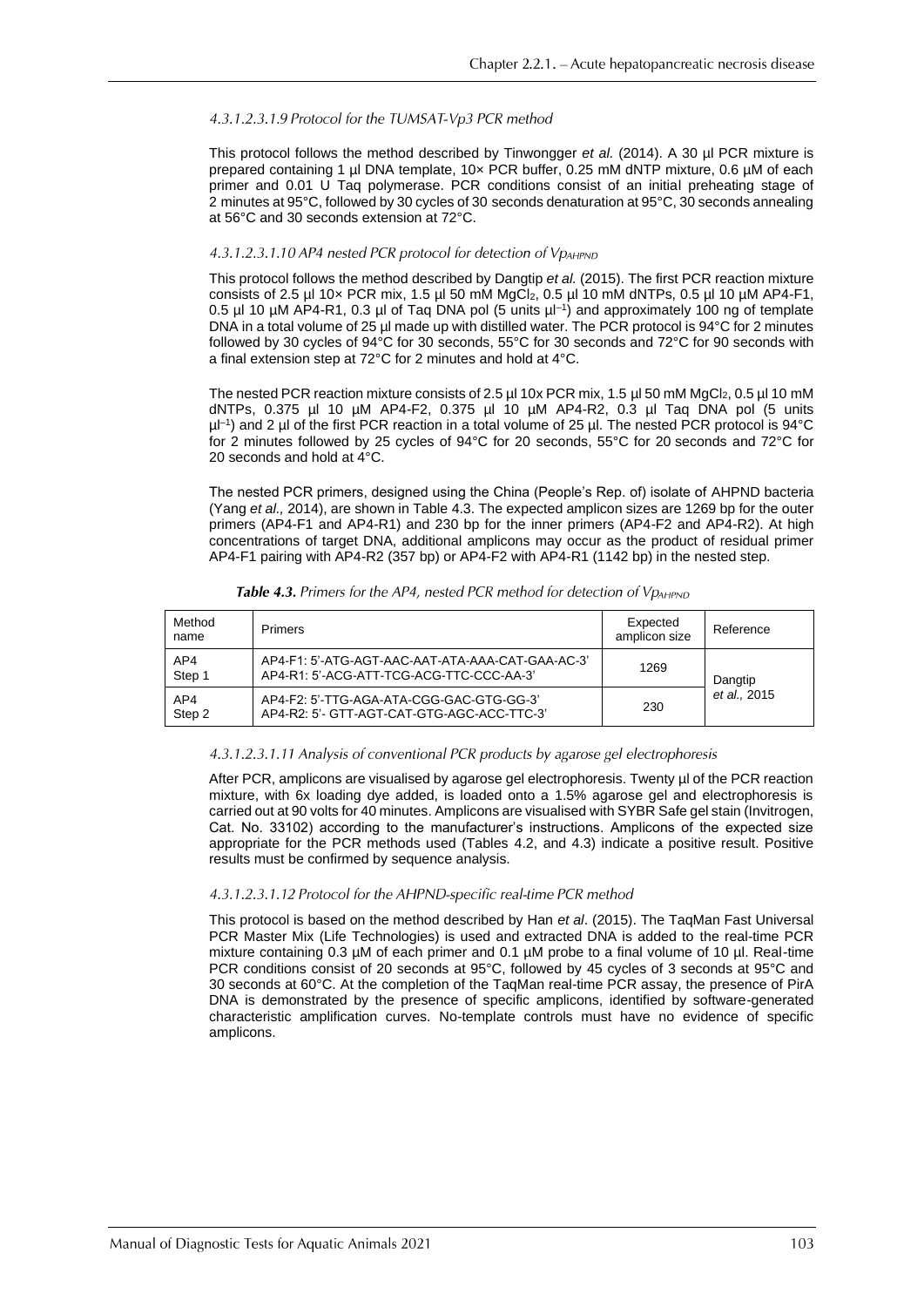#### 4.3.1.2.3.1.9 Protocol for the TUMSAT-Vp3 PCR method

This protocol follows the method described by Tinwongger *et al.* (2014). A 30 µl PCR mixture is prepared containing 1 µl DNA template, 10x PCR buffer, 0.25 mM dNTP mixture, 0.6 µM of each primer and 0.01 U Taq polymerase. PCR conditions consist of an initial preheating stage of 2 minutes at 95°C, followed by 30 cycles of 30 seconds denaturation at 95°C, 30 seconds annealing at 56°C and 30 seconds extension at 72°C.

#### 4.3.1.2.3.1.10 AP4 nested PCR protocol for detection of VpAHPND

This protocol follows the method described by Dangtip *et al.* (2015). The first PCR reaction mixture consists of 2.5 µl 10 $\times$  PCR mix, 1.5 µl 50 mM MgCl<sub>2</sub>, 0.5 µl 10 mM dNTPs, 0.5 µl 10 µM AP4-F1, 0.5 µl 10 µM AP4-R1, 0.3 µl of Taq DNA pol (5 units µl–1 ) and approximately 100 ng of template DNA in a total volume of 25 µl made up with distilled water. The PCR protocol is 94°C for 2 minutes followed by 30 cycles of 94°C for 30 seconds, 55°C for 30 seconds and 72°C for 90 seconds with a final extension step at 72°C for 2 minutes and hold at 4°C.

The nested PCR reaction mixture consists of 2.5 µl 10x PCR mix, 1.5 µl 50 mM MgCl<sub>2</sub>, 0.5 µl 10 mM dNTPs, 0.375 µl 10 µM AP4-F2, 0.375 µl 10 µM AP4-R2, 0.3 µl Taq DNA pol (5 units  $\mu$ I-1) and 2  $\mu$ I of the first PCR reaction in a total volume of 25  $\mu$ I. The nested PCR protocol is 94°C for 2 minutes followed by 25 cycles of 94°C for 20 seconds, 55°C for 20 seconds and 72°C for 20 seconds and hold at 4°C.

The nested PCR primers, designed using the China (People's Rep. of) isolate of AHPND bacteria (Yang *et al.,* 2014), are shown in Table 4.3. The expected amplicon sizes are 1269 bp for the outer primers (AP4-F1 and AP4-R1) and 230 bp for the inner primers (AP4-F2 and AP4-R2). At high concentrations of target DNA, additional amplicons may occur as the product of residual primer AP4-F1 pairing with AP4-R2 (357 bp) or AP4-F2 with AP4-R1 (1142 bp) in the nested step.

| Method<br>name | Primers                                                                                      | Expected<br>amplicon size | Reference    |  |
|----------------|----------------------------------------------------------------------------------------------|---------------------------|--------------|--|
| AP4<br>Step 1  | AP4-F1: 5'-ATG-AGT-AAC-AAT-ATA-AAA-CAT-GAA-AC-3'<br>AP4-R1: 5'-ACG-ATT-TCG-ACG-TTC-CCC-AA-3' | 1269                      | Dangtip      |  |
| AP4<br>Step 2  | AP4-F2: 5'-TTG-AGA-ATA-CGG-GAC-GTG-GG-3'<br>AP4-R2: 5'- GTT-AGT-CAT-GTG-AGC-ACC-TTC-3'       | 230                       | et al., 2015 |  |

Table 4.3. Primers for the AP4, nested PCR method for detection of VpAHPND

#### 4.3.1.2.3.1.11 Analysis of conventional PCR products by agarose gel electrophoresis

After PCR, amplicons are visualised by agarose gel electrophoresis. Twenty µl of the PCR reaction mixture, with 6x loading dye added, is loaded onto a 1.5% agarose gel and electrophoresis is carried out at 90 volts for 40 minutes. Amplicons are visualised with SYBR Safe gel stain (Invitrogen, Cat. No. 33102) according to the manufacturer's instructions. Amplicons of the expected size appropriate for the PCR methods used (Tables 4.2, and 4.3) indicate a positive result. Positive results must be confirmed by sequence analysis.

#### 4.3.1.2.3.1.12 Protocol for the AHPND-specific real-time PCR method

This protocol is based on the method described by Han *et al*. (2015). The TaqMan Fast Universal PCR Master Mix (Life Technologies) is used and extracted DNA is added to the real-time PCR mixture containing 0.3 µM of each primer and 0.1 µM probe to a final volume of 10 µl. Real-time PCR conditions consist of 20 seconds at 95°C, followed by 45 cycles of 3 seconds at 95°C and 30 seconds at 60°C. At the completion of the TaqMan real-time PCR assay, the presence of PirA DNA is demonstrated by the presence of specific amplicons, identified by software-generated characteristic amplification curves. No-template controls must have no evidence of specific amplicons.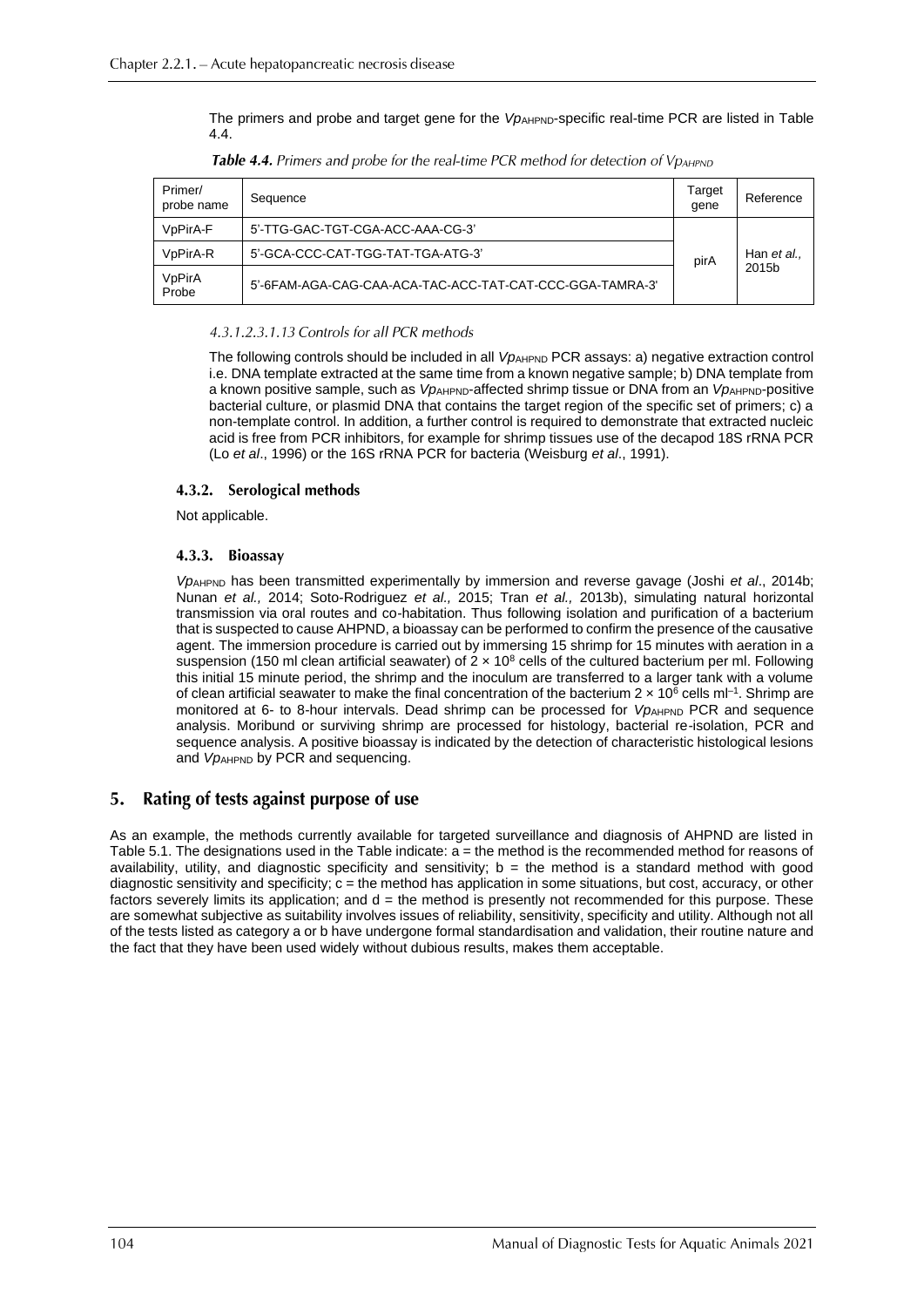The primers and probe and target gene for the *Vp*<sub>AHPND</sub>-specific real-time PCR are listed in Table 4.4.

| Primer/<br>probe name              | Sequence                                                 | Target<br>gene | Reference          |
|------------------------------------|----------------------------------------------------------|----------------|--------------------|
| V <sub>p</sub> PirA-F              | 5'-TTG-GAC-TGT-CGA-ACC-AAA-CG-3'                         |                | Han et al<br>2015b |
| V <sub>p</sub> Pir <sub>A</sub> -R | 5'-GCA-CCC-CAT-TGG-TAT-TGA-ATG-3'                        | pirA           |                    |
| VpPirA<br>Probe                    | 5'-6FAM-AGA-CAG-CAA-ACA-TAC-ACC-TAT-CAT-CCC-GGA-TAMRA-3' |                |                    |

Table 4.4. Primers and probe for the real-time PCR method for detection of VpAHPND

# 4.3.1.2.3.1.13 Controls for all PCR methods

The following controls should be included in all *Vp*<sub>AHPND</sub> PCR assays: a) negative extraction control i.e. DNA template extracted at the same time from a known negative sample; b) DNA template from a known positive sample, such as *VpAHPND*-affected shrimp tissue or DNA from an *VpAHPND*-positive bacterial culture, or plasmid DNA that contains the target region of the specific set of primers; c) a non-template control. In addition, a further control is required to demonstrate that extracted nucleic acid is free from PCR inhibitors, for example for shrimp tissues use of the decapod 18S rRNA PCR (Lo *et al*., 1996) or the 16S rRNA PCR for bacteria (Weisburg *et al*., 1991).

#### 4.3.2. Serological methods

Not applicable.

#### 4.3.3. Bioassav

*Vp*AHPND has been transmitted experimentally by immersion and reverse gavage (Joshi *et al*., 2014b; Nunan *et al.,* 2014; Soto-Rodriguez *et al.,* 2015; Tran *et al.,* 2013b), simulating natural horizontal transmission via oral routes and co-habitation. Thus following isolation and purification of a bacterium that is suspected to cause AHPND, a bioassay can be performed to confirm the presence of the causative agent. The immersion procedure is carried out by immersing 15 shrimp for 15 minutes with aeration in a suspension (150 ml clean artificial seawater) of  $2 \times 10^8$  cells of the cultured bacterium per ml. Following this initial 15 minute period, the shrimp and the inoculum are transferred to a larger tank with a volume of clean artificial seawater to make the final concentration of the bacterium  $2 \times 10^6$  cells ml<sup>-1</sup>. Shrimp are monitored at 6- to 8-hour intervals. Dead shrimp can be processed for *VpAHPND* PCR and sequence analysis. Moribund or surviving shrimp are processed for histology, bacterial re-isolation, PCR and sequence analysis. A positive bioassay is indicated by the detection of characteristic histological lesions and *VpAHPND* by PCR and sequencing.

#### Rating of tests against purpose of use  $5.$

As an example, the methods currently available for targeted surveillance and diagnosis of AHPND are listed in Table 5.1. The designations used in the Table indicate: a = the method is the recommended method for reasons of availability, utility, and diagnostic specificity and sensitivity;  $b =$  the method is a standard method with good diagnostic sensitivity and specificity;  $c =$  the method has application in some situations, but cost, accuracy, or other factors severely limits its application; and  $d =$  the method is presently not recommended for this purpose. These are somewhat subjective as suitability involves issues of reliability, sensitivity, specificity and utility. Although not all of the tests listed as category a or b have undergone formal standardisation and validation, their routine nature and the fact that they have been used widely without dubious results, makes them acceptable.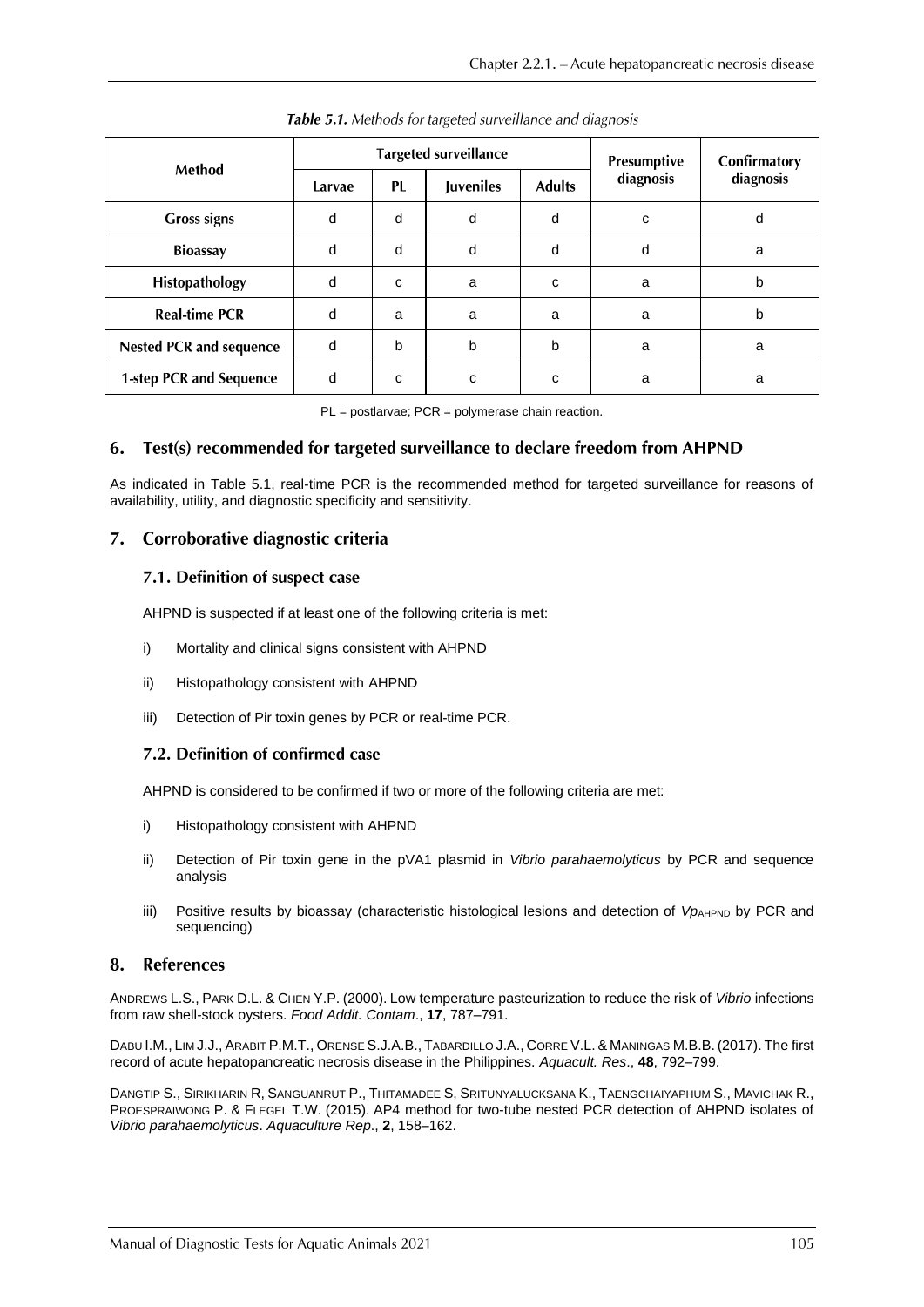| Method                         | <b>Targeted surveillance</b> |           |                  |               | Presumptive | Confirmatory |
|--------------------------------|------------------------------|-----------|------------------|---------------|-------------|--------------|
|                                | Larvae                       | <b>PL</b> | <b>Juveniles</b> | <b>Adults</b> | diagnosis   | diagnosis    |
| <b>Gross signs</b>             | d                            | d         | d                | d             | C           | d            |
| <b>Bioassay</b>                | d                            | d         | d                | d             | d           | a            |
| Histopathology                 | d                            | C         | a                | C             | a           | b            |
| <b>Real-time PCR</b>           | d                            | a         | a                | a             | a           | b            |
| <b>Nested PCR and sequence</b> | d                            | b         | b                | b             | a           | a            |
| 1-step PCR and Sequence        | d                            | C         | c                | C             | a           | a            |

Table 5.1. Methods for targeted surveillance and diagnosis

PL = postlarvae; PCR = polymerase chain reaction.

#### 6. Test(s) recommended for targeted surveillance to declare freedom from AHPND

As indicated in Table 5.1, real-time PCR is the recommended method for targeted surveillance for reasons of availability, utility, and diagnostic specificity and sensitivity.

# 7. Corroborative diagnostic criteria

#### 7.1. Definition of suspect case

AHPND is suspected if at least one of the following criteria is met:

- i) Mortality and clinical signs consistent with AHPND
- ii) Histopathology consistent with AHPND
- iii) Detection of Pir toxin genes by PCR or real-time PCR.

#### 7.2. Definition of confirmed case

AHPND is considered to be confirmed if two or more of the following criteria are met:

- i) Histopathology consistent with AHPND
- ii) Detection of Pir toxin gene in the pVA1 plasmid in *Vibrio parahaemolyticus* by PCR and sequence analysis
- iii) Positive results by bioassay (characteristic histological lesions and detection of *Vp*<sub>AHPND</sub> by PCR and sequencing)

#### $\mathbf{R}$ . **References**

ANDREWS L.S., PARK D.L. & CHEN Y.P. (2000). Low temperature pasteurization to reduce the risk of *Vibrio* infections from raw shell-stock oysters. *Food Addit. Contam*., **17**, 787–791.

DABU I.M., LIM J.J., ARABIT P.M.T., ORENSE S.J.A.B., TABARDILLO J.A., CORRE V.L. & MANINGAS M.B.B. (2017). The first record of acute hepatopancreatic necrosis disease in the Philippines. *Aquacult. Res*., **48**, 792–799.

DANGTIP S., SIRIKHARIN R, SANGUANRUT P., THITAMADEE S, SRITUNYALUCKSANA K., TAENGCHAIYAPHUM S., MAVICHAK R., PROESPRAIWONG P. & FLEGEL T.W. (2015). AP4 method for two-tube nested PCR detection of AHPND isolates of *Vibrio parahaemolyticus*. *Aquaculture Rep*., **2**, 158–162.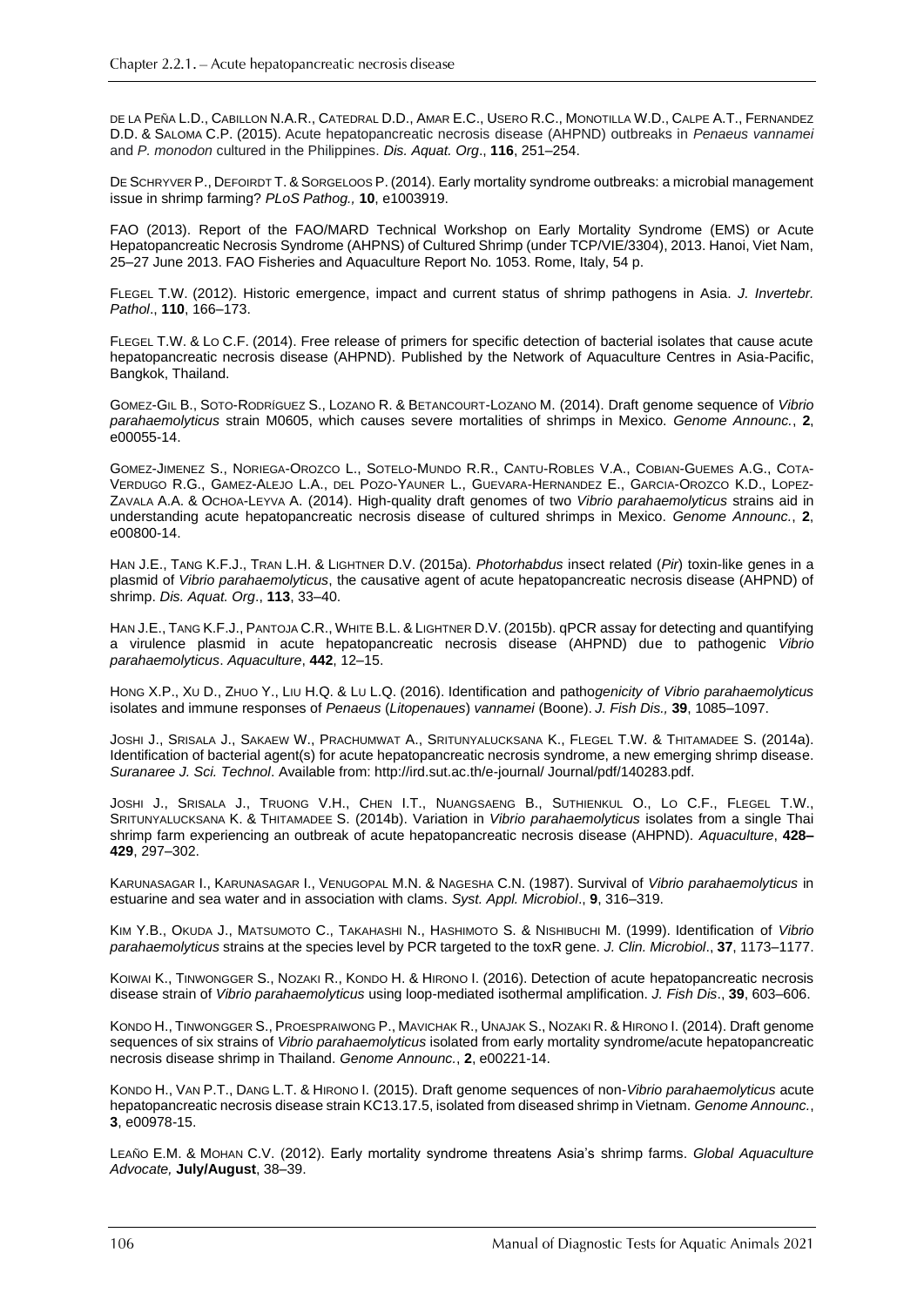DE LA PEÑA L.D., CABILLON N.A.R., CATEDRAL D.D., AMAR E.C., USERO R.C., MONOTILLA W.D., CALPE A.T., FERNANDEZ D.D. & SALOMA C.P. (2015). Acute hepatopancreatic necrosis disease (AHPND) outbreaks in *Penaeus vannamei*  and *P. monodon* cultured in the Philippines. *Dis. Aquat. Org*., **116**, 251–254.

DE SCHRYVER P., DEFOIRDT T. & SORGELOOS P. (2014). Early mortality syndrome outbreaks: a microbial management issue in shrimp farming? *PLoS Pathog.,* **10**, e1003919.

FAO (2013). Report of the FAO/MARD Technical Workshop on Early Mortality Syndrome (EMS) or Acute Hepatopancreatic Necrosis Syndrome (AHPNS) of Cultured Shrimp (under TCP/VIE/3304), 2013. Hanoi, Viet Nam, 25–27 June 2013. FAO Fisheries and Aquaculture Report No. 1053. Rome, Italy, 54 p.

FLEGEL T.W. (2012). Historic emergence, impact and current status of shrimp pathogens in Asia. *J. Invertebr. Pathol*., **110**, 166–173.

FLEGEL T.W. & LO C.F. (2014). Free release of primers for specific detection of bacterial isolates that cause acute hepatopancreatic necrosis disease (AHPND). Published by the Network of Aquaculture Centres in Asia-Pacific, Bangkok, Thailand.

GOMEZ-GIL B., SOTO-RODRÍGUEZ S., LOZANO R. & BETANCOURT-LOZANO M. (2014). Draft genome sequence of *Vibrio parahaemolyticus* strain M0605, which causes severe mortalities of shrimps in Mexico. *Genome Announc.*, **2**,  $e00055 - 14$ .

GOMEZ-JIMENEZ S., NORIEGA-OROZCO L., SOTELO-MUNDO R.R., CANTU-ROBLES V.A., COBIAN-GUEMES A.G., COTA-VERDUGO R.G., GAMEZ-ALEJO L.A., DEL POZO-YAUNER L., GUEVARA-HERNANDEZ E., GARCIA-OROZCO K.D., LOPEZ-ZAVALA A.A. & OCHOA-LEYVA A. (2014). High-quality draft genomes of two *Vibrio parahaemolyticus* strains aid in understanding acute hepatopancreatic necrosis disease of cultured shrimps in Mexico. *Genome Announc.*, **2**, e00800-14.

HAN J.E., TANG K.F.J., TRAN L.H. & LIGHTNER D.V. (2015a). *Photorhabdus* insect related (*Pir*) toxin-like genes in a plasmid of *Vibrio parahaemolyticus*, the causative agent of acute hepatopancreatic necrosis disease (AHPND) of shrimp. *Dis. Aquat. Org*., **113**, 33–40.

HAN J.E., TANG K.F.J., PANTOJA C.R., WHITE B.L. & LIGHTNER D.V. (2015b). qPCR assay for detecting and quantifying a virulence plasmid in acute hepatopancreatic necrosis disease (AHPND) due to pathogenic *Vibrio parahaemolyticus*. *Aquaculture*, **442**, 12–15.

HONG X.P., XU D., ZHUO Y., LIU H.Q. & LU L.Q. (2016). Identification and patho*genicity of Vibrio parahaemolyticus*  isolates and immune responses of *Penaeus* (*Litopenaues*) *vannamei* (Boone). *J. Fish Dis.,* **39**, 1085–1097.

JOSHI J., SRISALA J., SAKAEW W., PRACHUMWAT A., SRITUNYALUCKSANA K., FLEGEL T.W. & THITAMADEE S. (2014a). Identification of bacterial agent(s) for acute hepatopancreatic necrosis syndrome, a new emerging shrimp disease. *Suranaree J. Sci. Technol*. Available from: http://ird.sut.ac.th/e-journal/ Journal/pdf/140283.pdf.

JOSHI J., SRISALA J., TRUONG V.H., CHEN I.T., NUANGSAENG B., SUTHIENKUL O., LO C.F., FLEGEL T.W., SRITUNYALUCKSANA K. & THITAMADEE S. (2014b). Variation in *Vibrio parahaemolyticus* isolates from a single Thai shrimp farm experiencing an outbreak of acute hepatopancreatic necrosis disease (AHPND). *Aquaculture*, **428– 429**, 297–302.

KARUNASAGAR I., KARUNASAGAR I., VENUGOPAL M.N. & NAGESHA C.N. (1987). Survival of *Vibrio parahaemolyticus* in estuarine and sea water and in association with clams. *Syst. Appl. Microbiol*., **9**, 316–319.

KIM Y.B., OKUDA J., MATSUMOTO C., TAKAHASHI N., HASHIMOTO S. & NISHIBUCHI M. (1999). Identification of *Vibrio parahaemolyticus* strains at the species level by PCR targeted to the toxR gene. *J. Clin. Microbiol*., **37**, 1173–1177.

KOIWAI K., TINWONGGER S., NOZAKI R., KONDO H. & HIRONO I. (2016). Detection of acute hepatopancreatic necrosis disease strain of *Vibrio parahaemolyticus* using loop-mediated isothermal amplification. *J. Fish Dis*., **39**, 603–606.

KONDO H., TINWONGGER S., PROESPRAIWONG P., MAVICHAK R., UNAJAK S., NOZAKI R. & HIRONO I. (2014). Draft genome sequences of six strains of *Vibrio parahaemolyticus* isolated from early mortality syndrome/acute hepatopancreatic necrosis disease shrimp in Thailand. *Genome Announc.*, **2**, e00221-14.

KONDO H., VAN P.T., DANG L.T. & HIRONO I. (2015). Draft genome sequences of non-*Vibrio parahaemolyticus* acute hepatopancreatic necrosis disease strain KC13.17.5, isolated from diseased shrimp in Vietnam. *Genome Announc.*, **3**, e00978-15.

LEAÑO E.M. & MOHAN C.V. (2012). Early mortality syndrome threatens Asia's shrimp farms. *Global Aquaculture Advocate,* **July/August**, 38–39.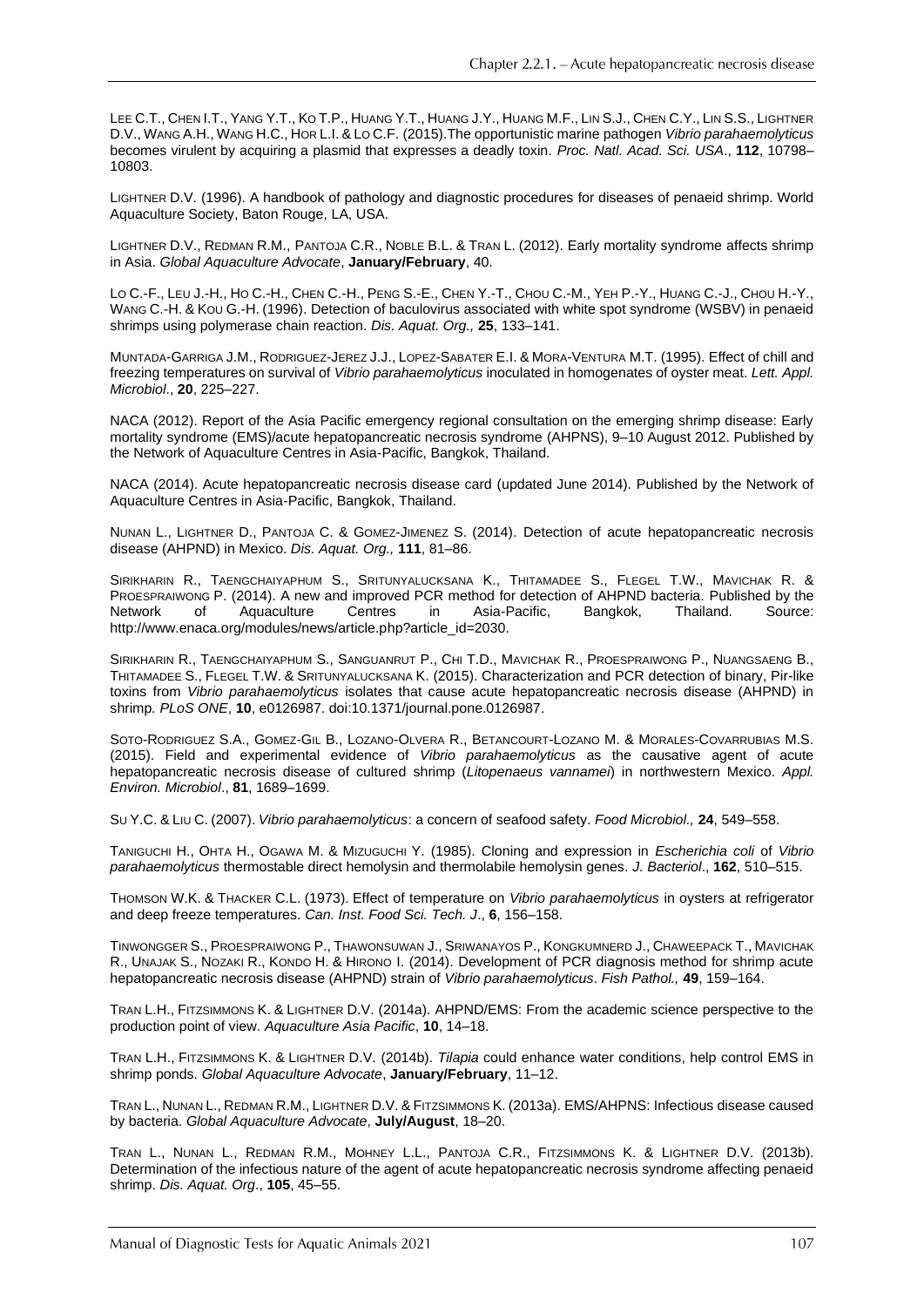LEE C.T., CHEN I.T., YANG Y.T., KO T.P., HUANG Y.T., HUANG J.Y., HUANG M.F., LIN S.J., CHEN C.Y., LIN S.S., LIGHTNER D.V., WANG A.H., WANG H.C., HOR L.I. & LO C.F. (2015).The opportunistic marine pathogen *Vibrio parahaemolyticus* becomes virulent by acquiring a plasmid that expresses a deadly toxin. *Proc. Natl. Acad. Sci. USA*., **112**, 10798– 10803.

LIGHTNER D.V. (1996). A handbook of pathology and diagnostic procedures for diseases of penaeid shrimp. World Aquaculture Society, Baton Rouge, LA, USA.

LIGHTNER D.V., REDMAN R.M., PANTOJA C.R., NOBLE B.L. & TRAN L. (2012). Early mortality syndrome affects shrimp in Asia. *Global Aquaculture Advocate*, **January/February**, 40.

LO C.-F., LEU J.-H., HO C.-H., CHEN C.-H., PENG S.-E., CHEN Y.-T., CHOU C.-M., YEH P.-Y., HUANG C.-J., CHOU H.-Y., WANG C.-H. & KOU G.-H. (1996). Detection of baculovirus associated with white spot syndrome (WSBV) in penaeid shrimps using polymerase chain reaction. *Dis. Aquat. Org.,* **25**, 133–141.

MUNTADA-GARRIGA J.M., RODRIGUEZ-JEREZ J.J., LOPEZ-SABATER E.I. & MORA-VENTURA M.T. (1995). Effect of chill and freezing temperatures on survival of *Vibrio parahaemolyticus* inoculated in homogenates of oyster meat. *Lett. Appl. Microbiol*., **20**, 225–227.

NACA (2012). Report of the Asia Pacific emergency regional consultation on the emerging shrimp disease: Early mortality syndrome (EMS)/acute hepatopancreatic necrosis syndrome (AHPNS), 9–10 August 2012. Published by the Network of Aquaculture Centres in Asia-Pacific, Bangkok, Thailand.

NACA (2014). Acute hepatopancreatic necrosis disease card (updated June 2014). Published by the Network of Aquaculture Centres in Asia-Pacific, Bangkok, Thailand.

NUNAN L., LIGHTNER D., PANTOJA C. & GOMEZ-JIMENEZ S. (2014). Detection of acute hepatopancreatic necrosis disease (AHPND) in Mexico. *Dis. Aquat. Org.,* **111**, 81–86.

SIRIKHARIN R., TAENGCHAIYAPHUM S., SRITUNYALUCKSANA K., THITAMADEE S., FLEGEL T.W., MAVICHAK R. & PROESPRAIWONG P. (2014). A new and improved PCR method for detection of AHPND bacteria. Published by the Network of Aquaculture Centres in Asia-Pacific, Bangkok, Thailand. Source: http://www.enaca.org/modules/news/article.php?article\_id=2030.

SIRIKHARIN R., TAENGCHAIYAPHUM S., SANGUANRUT P., CHI T.D., MAVICHAK R., PROESPRAIWONG P., NUANGSAENG B., THITAMADEE S., FLEGEL T.W. & SRITUNYALUCKSANA K. (2015). Characterization and PCR detection of binary, Pir-like toxins from *Vibrio parahaemolyticus* isolates that cause acute hepatopancreatic necrosis disease (AHPND) in shrimp*. PLoS ONE*, **10**, e0126987. doi:10.1371/journal.pone.0126987.

SOTO-RODRIGUEZ S.A., GOMEZ-GIL B., LOZANO-OLVERA R., BETANCOURT-LOZANO M. & MORALES-COVARRUBIAS M.S. (2015). Field and experimental evidence of *Vibrio parahaemolyticus* as the causative agent of acute hepatopancreatic necrosis disease of cultured shrimp (*Litopenaeus vannamei*) in northwestern Mexico. *Appl. Environ. Microbiol*., **81**, 1689–1699.

SU Y.C. & LIU C. (2007). *Vibrio parahaemolyticus*: a concern of seafood safety. *Food Microbiol.,* **24**, 549–558.

TANIGUCHI H., OHTA H., OGAWA M. & MIZUGUCHI Y. (1985). Cloning and expression in *Escherichia coli* of *Vibrio parahaemolyticus* thermostable direct hemolysin and thermolabile hemolysin genes. *J. Bacteriol*., **162**, 510–515.

THOMSON W.K. & THACKER C.L. (1973). Effect of temperature on *Vibrio parahaemolyticus* in oysters at refrigerator and deep freeze temperatures. *Can. Inst. Food Sci. Tech. J*., **6**, 156–158.

TINWONGGER S., PROESPRAIWONG P., THAWONSUWAN J., SRIWANAYOS P., KONGKUMNERD J., CHAWEEPACK T., MAVICHAK R., UNAJAK S., NOZAKI R., KONDO H. & HIRONO I. (2014). Development of PCR diagnosis method for shrimp acute hepatopancreatic necrosis disease (AHPND) strain of *Vibrio parahaemolyticus*. *Fish Pathol.,* **49**, 159–164.

TRAN L.H., FITZSIMMONS K. & LIGHTNER D.V. (2014a). AHPND/EMS: From the academic science perspective to the production point of view. *Aquaculture Asia Pacific*, **10**, 14–18.

TRAN L.H., FITZSIMMONS K. & LIGHTNER D.V. (2014b). *Tilapia* could enhance water conditions, help control EMS in shrimp ponds. *Global Aquaculture Advocate*, **January/February**, 11–12.

TRAN L., NUNAN L., REDMAN R.M., LIGHTNER D.V. & FITZSIMMONS K. (2013a). EMS/AHPNS: Infectious disease caused by bacteria. *Global Aquaculture Advocate*, **July/August**, 18–20.

TRAN L., NUNAN L., REDMAN R.M., MOHNEY L.L., PANTOJA C.R., FITZSIMMONS K. & LIGHTNER D.V. (2013b). Determination of the infectious nature of the agent of acute hepatopancreatic necrosis syndrome affecting penaeid shrimp. *Dis. Aquat. Org*., **105**, 45–55.